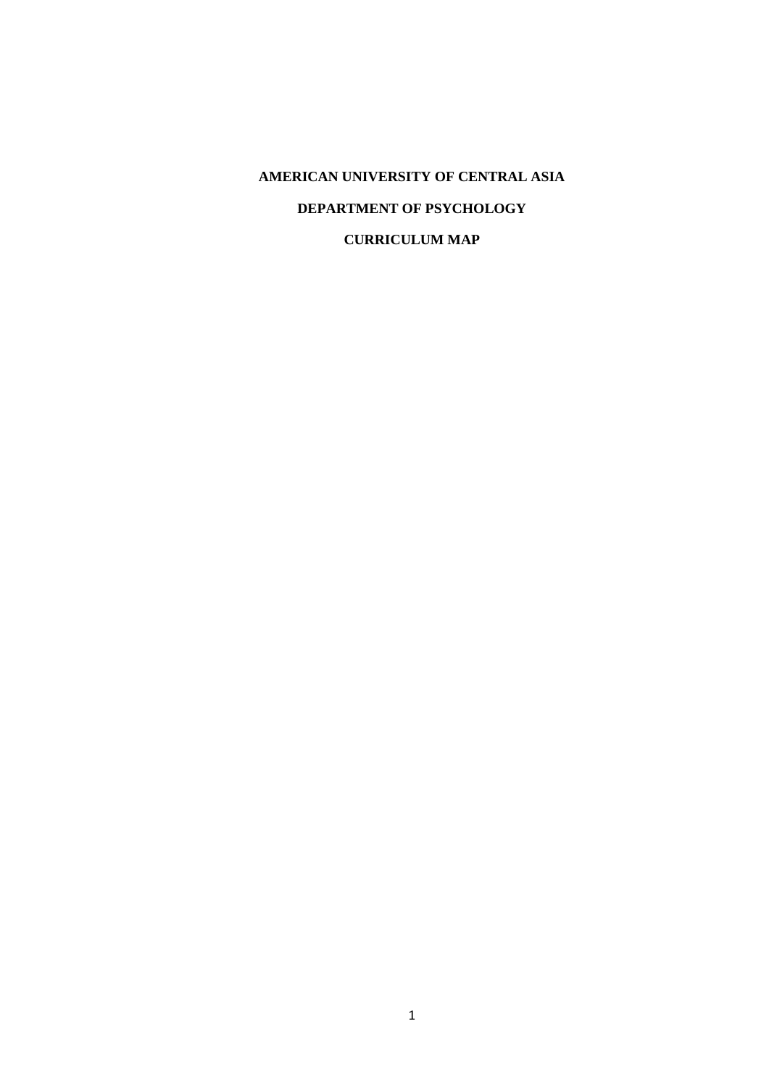# **AMERICAN UNIVERSITY OF CENTRAL ASIA DEPARTMENT OF PSYCHOLOGY CURRICULUM MAP**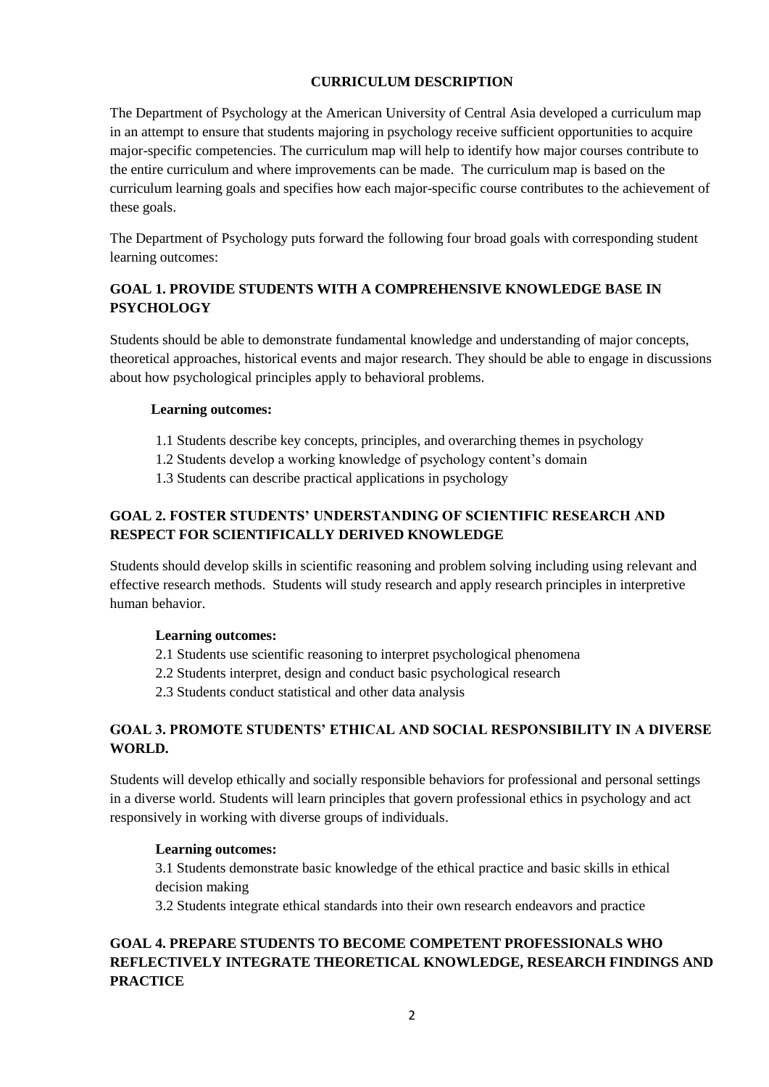## **CURRICULUM DESCRIPTION**

The Department of Psychology at the American University of Central Asia developed a curriculum map in an attempt to ensure that students majoring in psychology receive sufficient opportunities to acquire major-specific competencies. The curriculum map will help to identify how major courses contribute to the entire curriculum and where improvements can be made. The curriculum map is based on the curriculum learning goals and specifies how each major-specific course contributes to the achievement of these goals.

The Department of Psychology puts forward the following four broad goals with corresponding student learning outcomes:

# **GOAL 1. PROVIDE STUDENTS WITH A COMPREHENSIVE KNOWLEDGE BASE IN PSYCHOLOGY**

Students should be able to demonstrate fundamental knowledge and understanding of major concepts, theoretical approaches, historical events and major research. They should be able to engage in discussions about how psychological principles apply to behavioral problems.

## **Learning outcomes:**

- 1.1 Students describe key concepts, principles, and overarching themes in psychology
- 1.2 Students develop a working knowledge of psychology content's domain
- 1.3 Students can describe practical applications in psychology

# **GOAL 2. FOSTER STUDENTS' UNDERSTANDING OF SCIENTIFIC RESEARCH AND RESPECT FOR SCIENTIFICALLY DERIVED KNOWLEDGE**

Students should develop skills in scientific reasoning and problem solving including using relevant and effective research methods. Students will study research and apply research principles in interpretive human behavior.

## **Learning outcomes:**

- 2.1 Students use scientific reasoning to interpret psychological phenomena
- 2.2 Students interpret, design and conduct basic psychological research
- 2.3 Students conduct statistical and other data analysis

## **GOAL 3. PROMOTE STUDENTS' ETHICAL AND SOCIAL RESPONSIBILITY IN A DIVERSE WORLD.**

Students will develop ethically and socially responsible behaviors for professional and personal settings in a diverse world. Students will learn principles that govern professional ethics in psychology and act responsively in working with diverse groups of individuals.

#### **Learning outcomes:**

3.1 Students demonstrate basic knowledge of the ethical practice and basic skills in ethical decision making

3.2 Students integrate ethical standards into their own research endeavors and practice

# **GOAL 4. PREPARE STUDENTS TO BECOME COMPETENT PROFESSIONALS WHO REFLECTIVELY INTEGRATE THEORETICAL KNOWLEDGE, RESEARCH FINDINGS AND PRACTICE**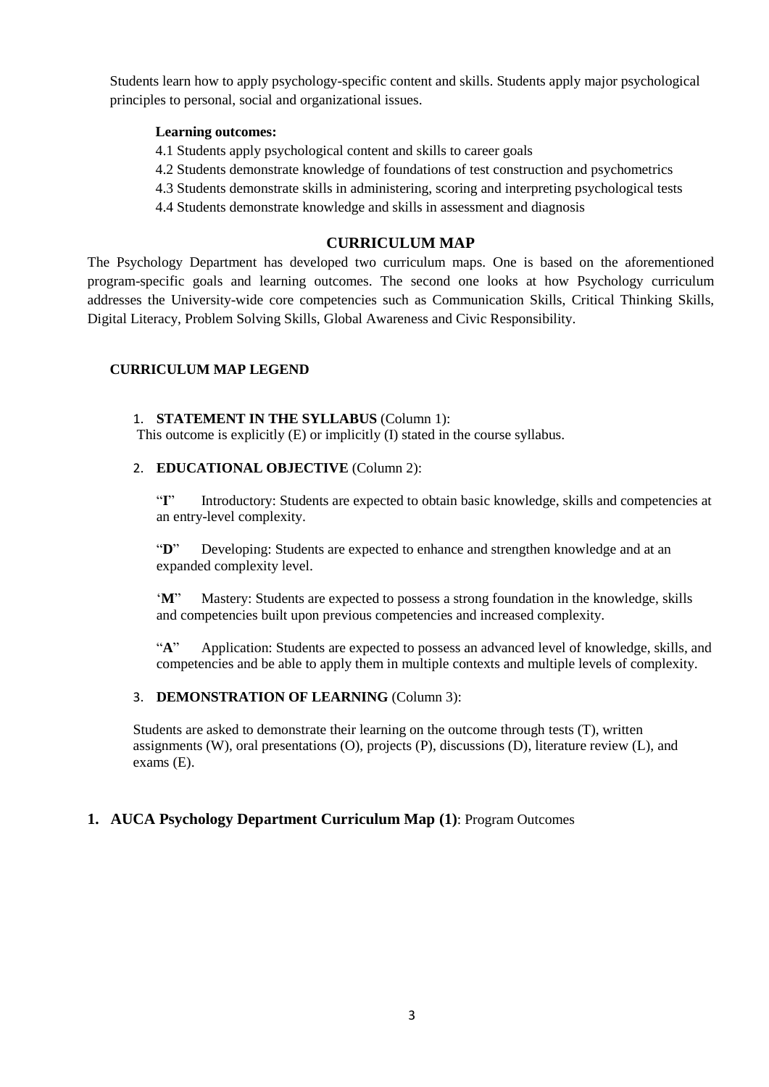Students learn how to apply psychology-specific content and skills. Students apply major psychological principles to personal, social and organizational issues.

#### **Learning outcomes:**

- 4.1 Students apply psychological content and skills to career goals
- 4.2 Students demonstrate knowledge of foundations of test construction and psychometrics
- 4.3 Students demonstrate skills in administering, scoring and interpreting psychological tests
- 4.4 Students demonstrate knowledge and skills in assessment and diagnosis

#### **CURRICULUM MAP**

The Psychology Department has developed two curriculum maps. One is based on the aforementioned program-specific goals and learning outcomes. The second one looks at how Psychology curriculum addresses the University-wide core competencies such as Communication Skills, Critical Thinking Skills, Digital Literacy, Problem Solving Skills, Global Awareness and Civic Responsibility.

#### **CURRICULUM MAP LEGEND**

#### 1. **STATEMENT IN THE SYLLABUS** (Column 1):

This outcome is explicitly (E) or implicitly (I) stated in the course syllabus.

#### 2. **EDUCATIONAL OBJECTIVE** (Column 2):

"I" Introductory: Students are expected to obtain basic knowledge, skills and competencies at an entry-level complexity.

"**D**" Developing: Students are expected to enhance and strengthen knowledge and at an expanded complexity level.

'**M**" Mastery: Students are expected to possess a strong foundation in the knowledge, skills and competencies built upon previous competencies and increased complexity.

"**A**" Application: Students are expected to possess an advanced level of knowledge, skills, and competencies and be able to apply them in multiple contexts and multiple levels of complexity.

#### 3. **DEMONSTRATION OF LEARNING** (Column 3):

Students are asked to demonstrate their learning on the outcome through tests (T), written assignments (W), oral presentations (O), projects (P), discussions (D), literature review (L), and exams (E).

## **1. AUCA Psychology Department Curriculum Map (1)**: Program Outcomes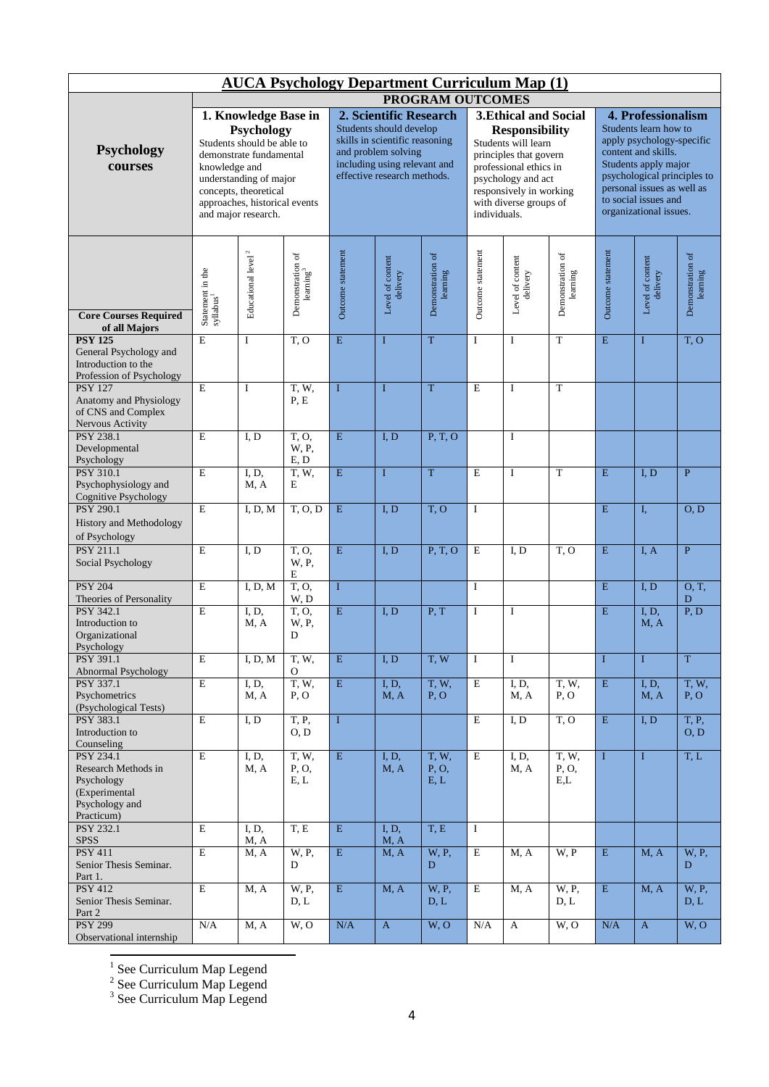|                                                                                                    |                                                                             | <b>AUCA Psychology Department Curriculum Map (1)</b>                                                                                                                           |                                           |                         |                                                                                                                                                 |                              |                   |                                                                                                                                                                             |                              |                                                                                                                                                                                                                                        |                              |                              |  |
|----------------------------------------------------------------------------------------------------|-----------------------------------------------------------------------------|--------------------------------------------------------------------------------------------------------------------------------------------------------------------------------|-------------------------------------------|-------------------------|-------------------------------------------------------------------------------------------------------------------------------------------------|------------------------------|-------------------|-----------------------------------------------------------------------------------------------------------------------------------------------------------------------------|------------------------------|----------------------------------------------------------------------------------------------------------------------------------------------------------------------------------------------------------------------------------------|------------------------------|------------------------------|--|
| PROGRAM OUTCOMES<br>1. Knowledge Base in<br><b>3. Ethical and Social</b><br>2. Scientific Research |                                                                             |                                                                                                                                                                                |                                           |                         |                                                                                                                                                 |                              |                   |                                                                                                                                                                             |                              |                                                                                                                                                                                                                                        |                              |                              |  |
| Psychology<br>courses                                                                              | knowledge and                                                               | Psychology<br>Students should be able to<br>demonstrate fundamental<br>understanding of major<br>concepts, theoretical<br>approaches, historical events<br>and major research. |                                           |                         | Students should develop<br>skills in scientific reasoning<br>and problem solving<br>including using relevant and<br>effective research methods. |                              | individuals.      | <b>Responsibility</b><br>Students will learn<br>principles that govern<br>professional ethics in<br>psychology and act<br>responsively in working<br>with diverse groups of |                              | 4. Professionalism<br>Students learn how to<br>apply psychology-specific<br>content and skills.<br>Students apply major<br>psychological principles to<br>personal issues as well as<br>to social issues and<br>organizational issues. |                              |                              |  |
| <b>Core Courses Required</b><br>of all Majors                                                      | $\begin{array}{c} \text{Statement in the} \\ \text{syllabus}^1 \end{array}$ | Educational level $^{\rm 2}$                                                                                                                                                   | Demonstration of<br>learning <sup>3</sup> | Outcome statement       | Level of content<br>delivery                                                                                                                    | Demonstration of<br>learning | Outcome statement | Level of content<br>delivery                                                                                                                                                | Demonstration of<br>learning | Outcome statement                                                                                                                                                                                                                      | Level of content<br>delivery | Demonstration of<br>learning |  |
| <b>PSY 125</b><br>General Psychology and<br>Introduction to the<br>Profession of Psychology        | $\mathbf E$                                                                 | I                                                                                                                                                                              | T, O                                      | E                       | I                                                                                                                                               | T                            | $\mathbf I$       | I                                                                                                                                                                           | $\mathbf T$                  | E                                                                                                                                                                                                                                      | $\mathbf I$                  | T, O                         |  |
| <b>PSY 127</b><br>Anatomy and Physiology<br>of CNS and Complex<br>Nervous Activity                 | E                                                                           | I                                                                                                                                                                              | T.W.<br>P, E                              | I                       | I                                                                                                                                               | T                            | E                 | I                                                                                                                                                                           | T                            |                                                                                                                                                                                                                                        |                              |                              |  |
| <b>PSY 238.1</b><br>Developmental<br>Psychology                                                    | E                                                                           | I, D                                                                                                                                                                           | T.O.<br>W, P,<br>E, D                     | E                       | I.D                                                                                                                                             | P, T, O                      |                   | $\mathbf I$                                                                                                                                                                 |                              |                                                                                                                                                                                                                                        |                              |                              |  |
| <b>PSY 310.1</b><br>Psychophysiology and<br>Cognitive Psychology                                   | $\mathbf E$                                                                 | I, D,<br>M, A                                                                                                                                                                  | T, W,<br>E                                | ${\bf E}$               | $\mathbf{I}$                                                                                                                                    | T                            | $\mathbf E$       | I                                                                                                                                                                           | T                            | E                                                                                                                                                                                                                                      | I, D                         | $\overline{P}$               |  |
| PSY 290.1<br>History and Methodology<br>of Psychology                                              | E                                                                           | I, D, M                                                                                                                                                                        | T, O, D                                   | $\mathbf E$             | I, D                                                                                                                                            | T, O                         | I                 |                                                                                                                                                                             |                              | ${\bf E}$                                                                                                                                                                                                                              | I,                           | O, D                         |  |
| <b>PSY 211.1</b><br>Social Psychology                                                              | E                                                                           | I, D                                                                                                                                                                           | T.O.<br>W, P,<br>E                        | E                       | I, D                                                                                                                                            | P, T, O                      | E                 | I, D                                                                                                                                                                        | T, O                         | E                                                                                                                                                                                                                                      | I, A                         | $\mathbf{P}$                 |  |
| <b>PSY 204</b><br>Theories of Personality                                                          | E                                                                           | I, D, M                                                                                                                                                                        | T, O,<br>W, D                             | $\bf{I}$                |                                                                                                                                                 |                              | I                 |                                                                                                                                                                             |                              | E                                                                                                                                                                                                                                      | I, D                         | 0, T,<br>D                   |  |
| <b>PSY 342.1</b><br>Introduction to<br>Organizational<br>Psychology                                | $\mathbf E$                                                                 | I, D,<br>M, A                                                                                                                                                                  | T.O.<br>W, P,<br>D                        | E                       | I, D                                                                                                                                            | P, T                         | $\mathbf I$       | I                                                                                                                                                                           |                              | E                                                                                                                                                                                                                                      | I, D,<br>M, A                | P, D                         |  |
| PSY 391.1<br>Abnormal Psychology                                                                   | $\mathbf E$                                                                 | I, D, M                                                                                                                                                                        | T, W,<br>$\Omega$                         | $\mathbf E$             | I, D                                                                                                                                            | T, W                         | I                 | I                                                                                                                                                                           |                              | $\bf{I}$                                                                                                                                                                                                                               | $\mathbf{I}$                 | $\overline{\mathrm{T}}$      |  |
| PSY 337.1<br>Psychometrics<br>(Psychological Tests)                                                | E                                                                           | I, D,<br>M, A                                                                                                                                                                  | T, W,<br>P, O                             | E                       | I, D,<br>M, A                                                                                                                                   | T, W,<br>P, O                | E                 | I, D,<br>M, A                                                                                                                                                               | T, W,<br>P, O                | $\overline{\mathrm{E}}$                                                                                                                                                                                                                | I, D,<br>M, A                | T, W,<br>P, O                |  |
| <b>PSY 383.1</b><br>Introduction to<br>Counseling                                                  | E                                                                           | I, D                                                                                                                                                                           | T, P,<br>O, D                             | $\mathbf{I}$            |                                                                                                                                                 |                              | E                 | I, D                                                                                                                                                                        | $\overline{T, 0}$            | E                                                                                                                                                                                                                                      | I, D                         | T, P,<br>O, D                |  |
| PSY 234.1<br>Research Methods in<br>Psychology<br>(Experimental<br>Psychology and<br>Practicum)    | E                                                                           | I, D,<br>M, A                                                                                                                                                                  | T, W,<br>P, O,<br>E, L                    | $\overline{\mathrm{E}}$ | I, D,<br>M, A                                                                                                                                   | T, W,<br>P, O,<br>E, L       | E                 | I, D,<br>M, A                                                                                                                                                               | T, W,<br>P, O,<br>E,L        | $\mathbf{I}$                                                                                                                                                                                                                           | $\bf{I}$                     | T, L                         |  |
| PSY 232.1<br><b>SPSS</b>                                                                           | $\overline{E}$                                                              | I, D,<br>M, A                                                                                                                                                                  | T, E                                      | $\mathbf E$             | I, D,<br>M, A                                                                                                                                   | T, E                         | $\bf{I}$          |                                                                                                                                                                             |                              |                                                                                                                                                                                                                                        |                              |                              |  |
| <b>PSY 411</b><br>Senior Thesis Seminar.<br>Part 1.                                                | E                                                                           | M, A                                                                                                                                                                           | W, P,<br>D                                | $\mathbf{E}$            | M, A                                                                                                                                            | W, P,<br>D                   | $\mathbf E$       | M, A                                                                                                                                                                        | W, P                         | $\mathbf E$                                                                                                                                                                                                                            | M, A                         | W, P,<br>D                   |  |
| <b>PSY 412</b><br>Senior Thesis Seminar.<br>Part 2                                                 | $\overline{E}$                                                              | M, A                                                                                                                                                                           | W, P,<br>D, L                             | E                       | M, A                                                                                                                                            | W, P,<br>D, L                | E                 | M, A                                                                                                                                                                        | W, P,<br>D, L                | $\overline{\mathbf{E}}$                                                                                                                                                                                                                | M, A                         | W, P,<br>D, L                |  |
| <b>PSY 299</b><br>Observational internship                                                         | N/A                                                                         | M, A                                                                                                                                                                           | W, O                                      | N/A                     | $\mathbf{A}$                                                                                                                                    | W, O                         | N/A               | A                                                                                                                                                                           | W, O                         | N/A                                                                                                                                                                                                                                    | $\boldsymbol{\mathsf{A}}$    | W, O                         |  |

<sup>1</sup> See Curriculum Map Legend<br><sup>2</sup> See Curriculum Map Legend<br><sup>3</sup> See Curriculum Map Legend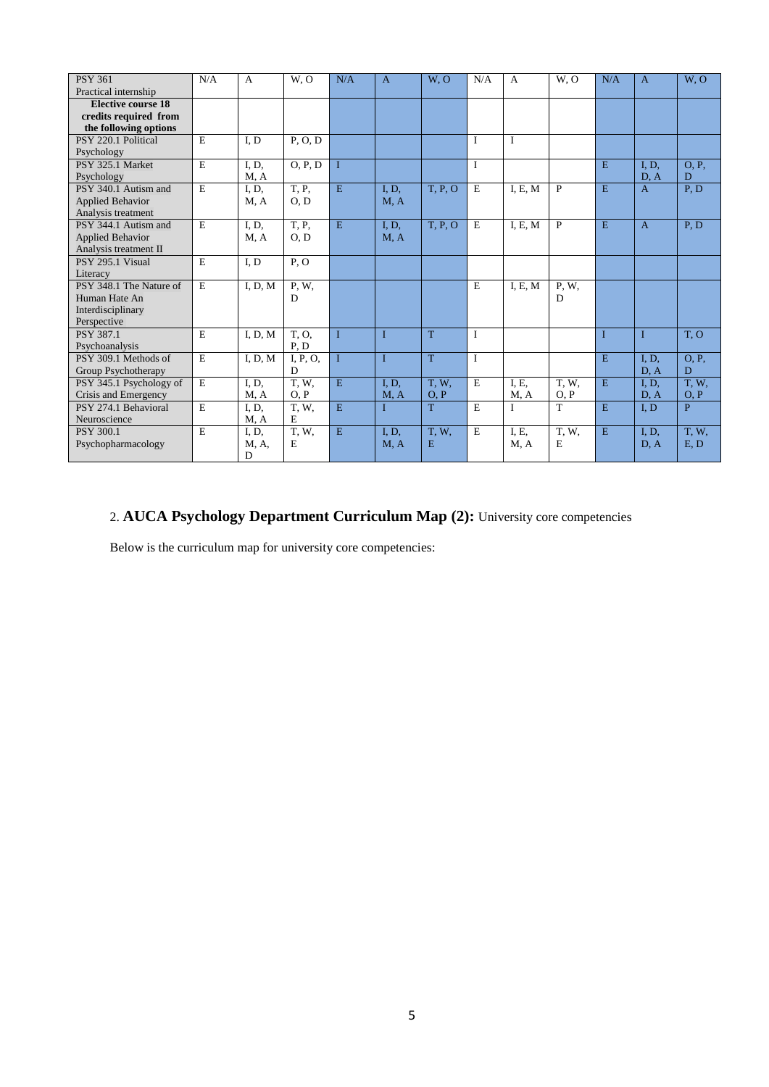| <b>PSY 361</b>          | N/A | $\mathbf{A}$ | W, O     | N/A          | $\overline{A}$ | W, O        | N/A          | $\overline{A}$ | W, O  | N/A          | $\overline{A}$ | W, O        |
|-------------------------|-----|--------------|----------|--------------|----------------|-------------|--------------|----------------|-------|--------------|----------------|-------------|
| Practical internship    |     |              |          |              |                |             |              |                |       |              |                |             |
| Elective course 18      |     |              |          |              |                |             |              |                |       |              |                |             |
| credits required from   |     |              |          |              |                |             |              |                |       |              |                |             |
| the following options   |     |              |          |              |                |             |              |                |       |              |                |             |
| PSY 220.1 Political     | E   | I.D          | P, O, D  |              |                |             | $\mathbf I$  | $\mathbf I$    |       |              |                |             |
| Psychology              |     |              |          |              |                |             |              |                |       |              |                |             |
| PSY 325.1 Market        | E   | I, D,        | O, P, D  | $\mathbf I$  |                |             | $\mathbf I$  |                |       | E            | I. D.          | O.P.        |
| Psychology              |     | M, A         |          |              |                |             |              |                |       |              | D, A           | D           |
| PSY 340.1 Autism and    | E   | I, D,        | T, P,    | E            | I, D,          | T, P, O     | E            | I, E, M        | P     | E            | $\mathbf{A}$   | P, D        |
| <b>Applied Behavior</b> |     | M, A         | O, D     |              | M, A           |             |              |                |       |              |                |             |
| Analysis treatment      |     |              |          |              |                |             |              |                |       |              |                |             |
| PSY 344.1 Autism and    | E   | I. D.        | T, P,    | E            | I, D.          | T, P, O     | E            | I, E, M        | P     | E            | $\overline{A}$ | P.D         |
| <b>Applied Behavior</b> |     | M, A         | O, D     |              | M, A           |             |              |                |       |              |                |             |
| Analysis treatment II   |     |              |          |              |                |             |              |                |       |              |                |             |
| PSY 295.1 Visual        | E   | I.D          | P, O     |              |                |             |              |                |       |              |                |             |
| Literacy                |     |              |          |              |                |             |              |                |       |              |                |             |
| PSY 348.1 The Nature of | E   | I, D, M      | P, W,    |              |                |             | E            | I, E, M        | P.W.  |              |                |             |
| Human Hate An           |     |              | D        |              |                |             |              |                | D     |              |                |             |
| Interdisciplinary       |     |              |          |              |                |             |              |                |       |              |                |             |
| Perspective             |     |              |          |              |                |             |              |                |       |              |                |             |
| <b>PSY 387.1</b>        | E   | I, D, M      | T.O.     | $\mathbf{I}$ | I              | T           | $\mathbf I$  |                |       | $\mathbf{I}$ | $\mathbf{I}$   | T, O        |
| Psychoanalysis          |     |              | P, D     |              |                |             |              |                |       |              |                |             |
| PSY 309.1 Methods of    | E   | I, D, M      | I, P, O, | $\mathbf{I}$ |                | T           | $\mathbf{I}$ |                |       | E            | I, D,          | O, P,       |
| Group Psychotherapy     |     |              | D        |              |                |             |              |                |       |              | D, A           | D           |
| PSY 345.1 Psychology of | E   | I, D,        | T, W,    | E            | I, D,          | <b>T.W.</b> | E            | I, E,          | T, W, | E            | I, D,          | T, W,       |
| Crisis and Emergency    |     | M, A         | O, P     |              | M, A           | O, P        |              | M, A           | O, P  |              | D, A           | O, P        |
| PSY 274.1 Behavioral    | E   | I, D,        | T.W.     | E            |                | T           | E            | I              | T     | E            | I, D           | P           |
| Neuroscience            |     | M, A         | E        |              |                |             |              |                |       |              |                |             |
| PSY 300.1               | E   | I, D,        | T, W,    | E            | I, D,          | <b>T.W.</b> | E            | I. E.          | T, W, | E            | I, D,          | <b>T.W.</b> |
| Psychopharmacology      |     | M, A,        | E        |              | M, A           | E           |              | M, A           | E     |              | D, A           | E, D        |
|                         |     | D            |          |              |                |             |              |                |       |              |                |             |

# 2. **AUCA Psychology Department Curriculum Map (2):** University core competencies

Below is the curriculum map for university core competencies: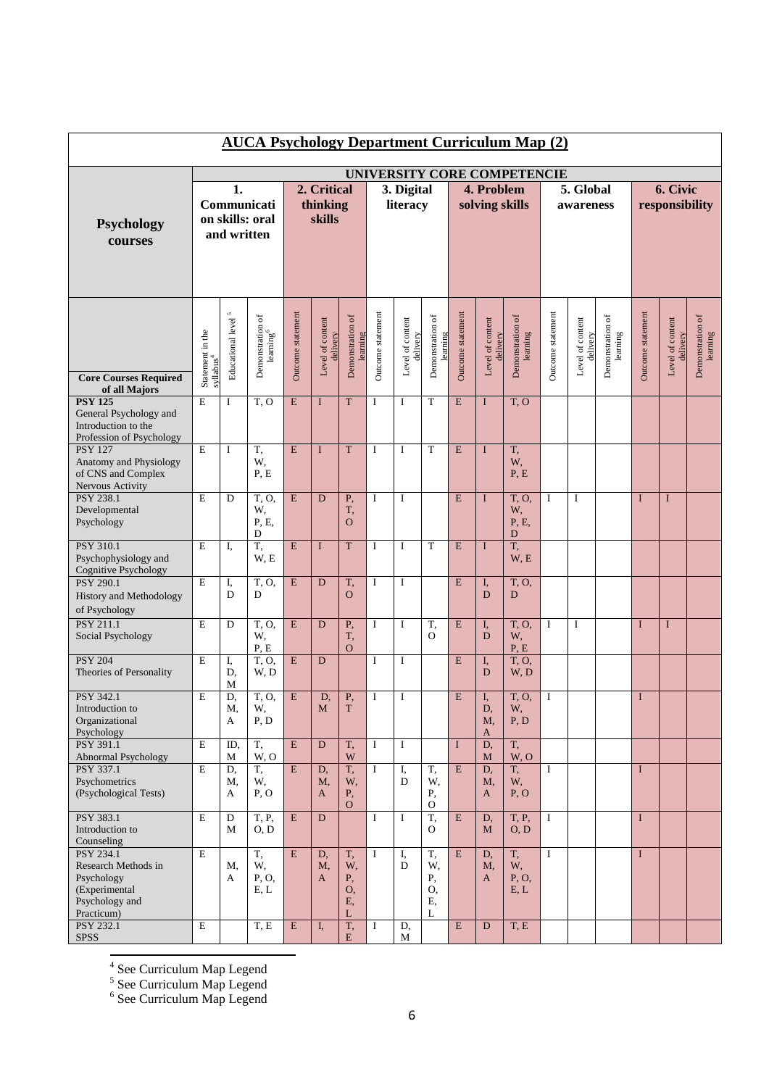|                                                                                                        | <b>AUCA Psychology Department Curriculum Map (2)</b> |                          |                                           |                                   |                              |                                 |                        |                              |                                 |                              |                              |                               |                        |                              |                              |                            |                              |                              |
|--------------------------------------------------------------------------------------------------------|------------------------------------------------------|--------------------------|-------------------------------------------|-----------------------------------|------------------------------|---------------------------------|------------------------|------------------------------|---------------------------------|------------------------------|------------------------------|-------------------------------|------------------------|------------------------------|------------------------------|----------------------------|------------------------------|------------------------------|
|                                                                                                        |                                                      |                          |                                           |                                   |                              |                                 |                        |                              |                                 |                              |                              | UNIVERSITY CORE COMPETENCIE   |                        |                              |                              |                            |                              |                              |
| Psychology<br>courses                                                                                  | 1.<br>Communicati<br>on skills: oral<br>and written  |                          |                                           | 2. Critical<br>thinking<br>skills |                              |                                 | 3. Digital<br>literacy |                              |                                 | 4. Problem<br>solving skills |                              |                               | 5. Global<br>awareness |                              |                              | 6. Civic<br>responsibility |                              |                              |
| <b>Core Courses Required</b><br>of all Majors                                                          | Statement in the<br>syllabus <sup>4</sup>            | Educational level $^5\,$ | Demonstration of<br>learning <sup>6</sup> | Outcome statement                 | Level of content<br>delivery | Demonstration of<br>learning    | Outcome statement      | Level of content<br>delivery | Demonstration of<br>learning    | Outcome statement            | Level of content<br>delivery | Demonstration of<br>learning  | Outcome statement      | Level of content<br>delivery | Demonstration of<br>learning | Outcome statement          | Level of content<br>delivery | Demonstration of<br>learning |
| <b>PSY 125</b><br>General Psychology and<br>Introduction to the<br>Profession of Psychology            | E                                                    | $\bf I$                  | T, O                                      | E                                 | $\mathbf{I}$                 | T                               | I                      | I                            | T                               | E                            | I                            | T, O                          |                        |                              |                              |                            |                              |                              |
| <b>PSY 127</b><br>Anatomy and Physiology<br>of CNS and Complex<br>Nervous Activity                     | E                                                    | $\mathbf I$              | T,<br>W,<br>P, E                          | E                                 | $\mathbf I$                  | T                               | $\mathbf I$            | $\mathbf I$                  | T                               | E                            | I                            | T,<br>W,<br>P, E              |                        |                              |                              |                            |                              |                              |
| <b>PSY 238.1</b><br>Developmental<br>Psychology                                                        | E                                                    | D                        | $\overline{T, 0}$<br>W,<br>P. E.<br>D     | E                                 | D                            | P,<br>T,<br>$\mathbf O$         | I                      | I                            |                                 | E                            | I                            | T, O,<br>W,<br>P, E,<br>D     | I                      | $\bf I$                      |                              | $\mathbf I$                | I                            |                              |
| PSY 310.1<br>Psychophysiology and<br>Cognitive Psychology                                              | E                                                    | I,                       | T,<br>W, E                                | E                                 | I                            | $\mathbf T$                     | I                      | I                            | T                               | $\mathbf E$                  | I                            | T,<br>W, E                    |                        |                              |                              |                            |                              |                              |
| <b>PSY 290.1</b><br>History and Methodology<br>of Psychology                                           | E                                                    | I,<br>D                  | T, O,<br>D                                | E                                 | D                            | T,<br>$\mathbf O$               | I                      | I                            |                                 | E                            | I,<br>D                      | T, O,<br>D                    |                        |                              |                              |                            |                              |                              |
| <b>PSY 211.1</b><br>Social Psychology                                                                  | E                                                    | D                        | T. O.<br>W,<br>P, E                       | ${\bf E}$                         | D                            | Ρ,<br>T,<br>$\overline{O}$      | I                      | I                            | T,<br>$\Omega$                  | $\mathbf E$                  | I,<br>D                      | T.O.<br>W,<br>P, E            | I                      | I                            |                              | I                          | I                            |                              |
| <b>PSY 204</b><br>Theories of Personality                                                              | E                                                    | I,<br>D,<br>M            | T. O.<br>W, D                             | E                                 | D                            |                                 | I                      | I                            |                                 | $\mathbf E$                  | I,<br>$\mathbf D$            | T, O,<br>W, D                 |                        |                              |                              |                            |                              |                              |
| PSY 342.1<br>Introduction to<br>Organizational<br>Psychology                                           | E                                                    | D,<br>M,<br>A            | $\overline{T, 0}$<br>W,<br>P, D           | ${\bf E}$                         | D,<br>$\mathbf M$            | ${\bf P},$<br>$\mathbf T$       | I                      | I                            |                                 | E                            | I,<br>D,<br>M,<br>A          | T, O,<br>W,<br>P, D           | I                      |                              |                              | $\mathbf I$                |                              |                              |
| PSY 391.1<br>Abnormal Psychology                                                                       | E                                                    | ID.<br>M                 | T,<br>W, O                                | E                                 | D                            | T,<br>W                         | $\bf{I}$               | $\mathbf I$                  |                                 | $\mathbf I$                  | D,<br>$\mathbf{M}$           | T,<br>W, O                    |                        |                              |                              |                            |                              |                              |
| <b>PSY 337.1</b><br>Psychometrics<br>(Psychological Tests)                                             | E                                                    | D,<br>M,<br>А            | T,<br>W,<br>P, O                          | E                                 | D,<br>M,<br>A                | T,<br>W,<br>Ρ,<br>$\Omega$      | $\mathbf I$            | I,<br>D                      | T,<br>W,<br>Ρ,<br>O             | $\overline{\mathrm{E}}$      | D,<br>M,<br>A                | T.<br>W,<br>P, O              | $\mathbf I$            |                              |                              | $\mathbf I$                |                              |                              |
| PSY 383.1<br>Introduction to<br>Counseling                                                             | E                                                    | $\mathbf D$<br>М         | T, P,<br>O, D                             | E                                 | D                            |                                 | $\bf{I}$               | $\mathbf I$                  | T,<br>O                         | E                            | D.<br>M                      | <b>T</b> , <b>P</b> ,<br>O, D | $\mathbf I$            |                              |                              | $\mathbf I$                |                              |                              |
| <b>PSY 234.1</b><br>Research Methods in<br>Psychology<br>(Experimental<br>Psychology and<br>Practicum) | E                                                    | Μ,<br>A                  | T,<br>W,<br>P, O,<br>E, L                 | E                                 | D,<br>M,<br>A                | T,<br>W,<br>Ρ,<br>O,<br>Ε,<br>L | I                      | I,<br>D                      | T,<br>W,<br>Ρ,<br>O,<br>Ε,<br>L | E                            | D,<br>M,<br>A                | T,<br>W,<br>P, O,<br>E, L     | $\bf{I}$               |                              |                              | $\mathbf I$                |                              |                              |
| PSY 232.1<br><b>SPSS</b>                                                                               | E                                                    |                          | T, E                                      | E                                 | I,                           | T,<br>E                         | 1                      | D,<br>M                      |                                 | $\mathbf E$                  | D                            | T, E                          |                        |                              |                              |                            |                              |                              |

<sup>4</sup> See Curriculum Map Legend<br><sup>5</sup> See Curriculum Map Legend<br><sup>6</sup> See Curriculum Map Legend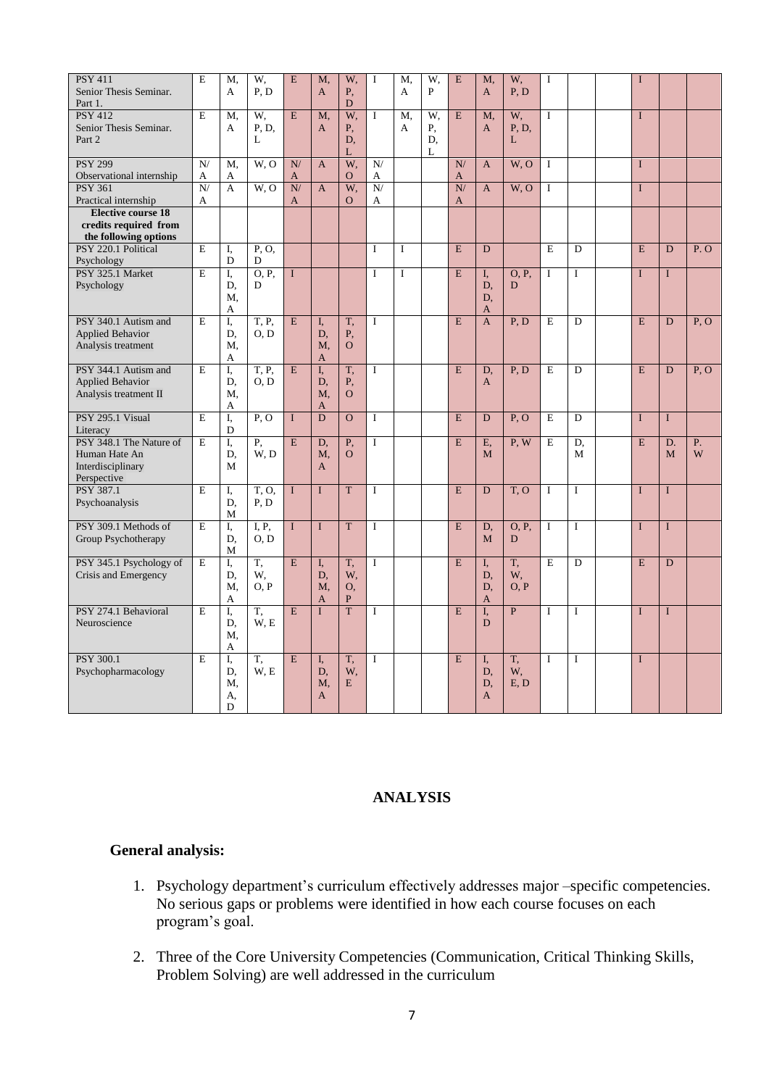| <b>PSY 411</b><br>Senior Thesis Seminar.          | E              | M,<br>A           | W.<br>P, D    | E                      | M,<br>$\mathbf{A}$ | W.<br>Ρ,       | I              | M.<br>A | W,<br>P | E              | M,<br>A      | W.<br>P, D        | I            |                | I              |              |                   |
|---------------------------------------------------|----------------|-------------------|---------------|------------------------|--------------------|----------------|----------------|---------|---------|----------------|--------------|-------------------|--------------|----------------|----------------|--------------|-------------------|
| Part 1.                                           |                |                   |               |                        |                    | D              |                |         |         |                |              |                   |              |                |                |              |                   |
| <b>PSY 412</b>                                    | E              | M,                | W,            | E                      | M,                 | W,             | $\mathbf{I}$   | M,      | W,      | E              | M,           | W,                | L            |                | $\mathbf{I}$   |              |                   |
| Senior Thesis Seminar.                            |                | A                 | P. D.         |                        | $\mathbf{A}$       | Ρ,             |                | A       | Ρ,      |                | A            | P, D,             |              |                |                |              |                   |
| Part 2                                            |                |                   | L             |                        |                    | D.<br>L        |                |         | D.<br>L |                |              | L                 |              |                |                |              |                   |
| <b>PSY 299</b>                                    | N/             | M,                | W.O           | N/                     | $\mathsf{A}$       | W,             | N/             |         |         | N/             | A            | W, O              | $\bf I$      |                | $\mathbf{I}$   |              |                   |
| Observational internship                          | А              | A                 |               | A                      |                    | $\overline{O}$ | A              |         |         | $\mathbf{A}$   |              |                   |              |                |                |              |                   |
| <b>PSY 361</b>                                    | N/             | $\mathbf{A}$      | W, O          | $\overline{\text{N}}/$ | $\overline{A}$     | W.             | ${\bf N} /$    |         |         | $\overline{N}$ | $\mathbf{A}$ | W, O              | $\mathbf I$  |                | $\mathbf{I}$   |              |                   |
| Practical internship<br><b>Elective course 18</b> | A              |                   |               | A                      |                    | $\overline{O}$ | A              |         |         | A              |              |                   |              |                |                |              |                   |
| credits required from                             |                |                   |               |                        |                    |                |                |         |         |                |              |                   |              |                |                |              |                   |
| the following options                             |                |                   |               |                        |                    |                |                |         |         |                |              |                   |              |                |                |              |                   |
| PSY 220.1 Political                               | E              | I,                | P, O,         |                        |                    |                | $\mathbf I$    | I       |         | E              | D            |                   | E            | $\overline{D}$ | $\overline{E}$ | D            | $\overline{P. O}$ |
| Psychology                                        |                | D                 | D             |                        |                    |                |                |         |         |                |              |                   |              |                |                |              |                   |
| PSY 325.1 Market                                  | E              | I,                | O.P.          | I                      |                    |                | I              | I       |         | E              | L.           | O.P.              | $\mathbf I$  | $\mathbf I$    | $\mathbf I$    | $\mathbf I$  |                   |
| Psychology                                        |                | D.                | D             |                        |                    |                |                |         |         |                | D,           | D                 |              |                |                |              |                   |
|                                                   |                | M.                |               |                        |                    |                |                |         |         |                | D.           |                   |              |                |                |              |                   |
|                                                   | E              | А                 |               |                        |                    |                | $\mathbf{I}$   |         |         | E              | A            |                   |              |                | E              |              |                   |
| PSY 340.1 Autism and<br><b>Applied Behavior</b>   |                | I,<br>D.          | T, P,<br>O, D | E                      | I,<br>D,           | T,<br>Ρ,       |                |         |         |                | $\mathbf{A}$ | $\overline{P, D}$ | E            | D              |                | D            | P, O              |
| Analysis treatment                                |                | M.                |               |                        | M.                 | $\Omega$       |                |         |         |                |              |                   |              |                |                |              |                   |
|                                                   |                | A                 |               |                        | $\mathbf{A}$       |                |                |         |         |                |              |                   |              |                |                |              |                   |
| PSY 344.1 Autism and                              | E              | I,                | T. P.         | E                      | I.                 | T,             | $\mathbf I$    |         |         | E              | D,           | P, D              | E            | D              | E              | D            | P, O              |
| <b>Applied Behavior</b>                           |                | D.                | O, D          |                        | D.                 | P,             |                |         |         |                | $\mathbf{A}$ |                   |              |                |                |              |                   |
| Analysis treatment II                             |                | M,                |               |                        | M,                 | $\Omega$       |                |         |         |                |              |                   |              |                |                |              |                   |
| PSY 295.1 Visual                                  | E              | A                 |               |                        | $\mathbf{A}$<br>D  | $\overline{O}$ | $\mathbf I$    |         |         | E              |              |                   |              |                | $\mathbf I$    | $\mathbf I$  |                   |
| Literacy                                          |                | I,<br>$\mathbf D$ | P, O          | $\mathbf I$            |                    |                |                |         |         |                | D            | P, O              | E            | ${\rm D}$      |                |              |                   |
| PSY 348.1 The Nature of                           | $\overline{E}$ | I.                | P.            | $\overline{E}$         | D,                 | P,             | $\overline{I}$ |         |         | E              | E,           | P, W              | E            | D,             | E              | D.           | P.                |
| Human Hate An                                     |                | D.                | W.D           |                        | M,                 | $\overline{O}$ |                |         |         |                | M            |                   |              | M              |                | M            | W                 |
| Interdisciplinary                                 |                | M                 |               |                        | $\mathbf{A}$       |                |                |         |         |                |              |                   |              |                |                |              |                   |
| Perspective                                       |                |                   |               |                        |                    |                |                |         |         |                |              |                   |              |                |                |              |                   |
| PSY 387.1                                         | E              | I.                | T.O.          | $\mathbf{I}$           | $\mathbf{I}$       | T              | $\mathbf I$    |         |         | E              | D            | T, O              | $\mathbf I$  | $\mathbf I$    | $\mathbf I$    | $\mathbf{I}$ |                   |
| Psychoanalysis                                    |                | D.                | P.D           |                        |                    |                |                |         |         |                |              |                   |              |                |                |              |                   |
|                                                   |                | M                 |               |                        |                    | $\overline{T}$ |                |         |         |                |              |                   |              |                |                |              |                   |
| PSY 309.1 Methods of<br>Group Psychotherapy       | E              | I,<br>D.          | I, P.<br>O, D | $\mathbf{I}$           | $\mathbf{I}$       |                | $\bf{I}$       |         |         | E              | D.<br>M      | O, P,<br>D        | $\bf{I}$     | $\mathbf I$    | $\mathbf I$    | $\mathbf I$  |                   |
|                                                   |                | M                 |               |                        |                    |                |                |         |         |                |              |                   |              |                |                |              |                   |
| PSY 345.1 Psychology of                           | E              | I,                | T,            | E                      | I.                 | T,             | $\mathbf{I}$   |         |         | E              | I,           | T,                | E            | D              | E              | D            |                   |
| Crisis and Emergency                              |                | D.                | W,            |                        | D,                 | W,             |                |         |         |                | D.           | W,                |              |                |                |              |                   |
|                                                   |                | M,                | O, P          |                        | M,                 | O,             |                |         |         |                | D,           | O, P              |              |                |                |              |                   |
|                                                   |                | A                 |               |                        | $\mathbf{A}$       | P              |                |         |         |                | A            |                   |              |                |                |              |                   |
| PSY 274.1 Behavioral<br>Neuroscience              | E              | I,                | T,<br>W, E    | $\overline{E}$         | $\mathbf{I}$       | T              | $\mathbf{I}$   |         |         | E              | I,<br>D      | $\overline{P}$    | $\mathbf{I}$ | $\mathbf I$    | $\mathbf I$    | $\mathbf I$  |                   |
|                                                   |                | D.<br>M,          |               |                        |                    |                |                |         |         |                |              |                   |              |                |                |              |                   |
|                                                   |                | A                 |               |                        |                    |                |                |         |         |                |              |                   |              |                |                |              |                   |
| <b>PSY 300.1</b>                                  | E              | I.                | T.            | E                      | I.                 | T.             | $\mathbf{I}$   |         |         | E              | I.           | T.                | $\mathbf{I}$ | $\mathbf I$    | $\mathbf I$    |              |                   |
| Psychopharmacology                                |                | D.                | W, E          |                        | D.                 | W,             |                |         |         |                | D,           | W,                |              |                |                |              |                   |
|                                                   |                | M,                |               |                        | M.                 | E              |                |         |         |                | D,           | E, D              |              |                |                |              |                   |
|                                                   |                | A,                |               |                        | $\mathbf{A}$       |                |                |         |         |                | A            |                   |              |                |                |              |                   |
|                                                   |                | D                 |               |                        |                    |                |                |         |         |                |              |                   |              |                |                |              |                   |

## **ANALYSIS**

# **General analysis:**

- 1. Psychology department's curriculum effectively addresses major –specific competencies. No serious gaps or problems were identified in how each course focuses on each program's goal.
- 2. Three of the Core University Competencies (Communication, Critical Thinking Skills, Problem Solving) are well addressed in the curriculum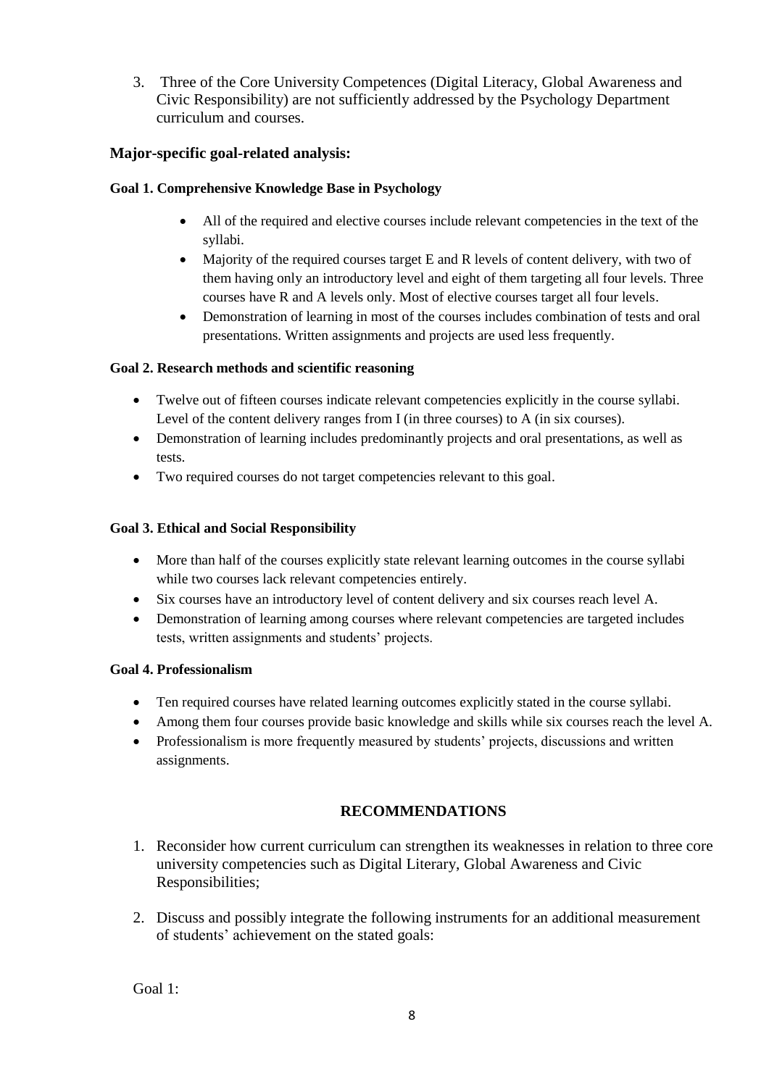3. Three of the Core University Competences (Digital Literacy, Global Awareness and Civic Responsibility) are not sufficiently addressed by the Psychology Department curriculum and courses.

# **Major-specific goal-related analysis:**

# **Goal 1. Comprehensive Knowledge Base in Psychology**

- All of the required and elective courses include relevant competencies in the text of the syllabi.
- Majority of the required courses target E and R levels of content delivery, with two of them having only an introductory level and eight of them targeting all four levels. Three courses have R and A levels only. Most of elective courses target all four levels.
- Demonstration of learning in most of the courses includes combination of tests and oral presentations. Written assignments and projects are used less frequently.

## **Goal 2. Research methods and scientific reasoning**

- Twelve out of fifteen courses indicate relevant competencies explicitly in the course syllabi. Level of the content delivery ranges from I (in three courses) to A (in six courses).
- Demonstration of learning includes predominantly projects and oral presentations, as well as tests.
- Two required courses do not target competencies relevant to this goal.

## **Goal 3. Ethical and Social Responsibility**

- More than half of the courses explicitly state relevant learning outcomes in the course syllabi while two courses lack relevant competencies entirely.
- Six courses have an introductory level of content delivery and six courses reach level A.
- Demonstration of learning among courses where relevant competencies are targeted includes tests, written assignments and students' projects.

## **Goal 4. Professionalism**

- Ten required courses have related learning outcomes explicitly stated in the course syllabi.
- Among them four courses provide basic knowledge and skills while six courses reach the level A.
- Professionalism is more frequently measured by students' projects, discussions and written assignments.

# **RECOMMENDATIONS**

- 1. Reconsider how current curriculum can strengthen its weaknesses in relation to three core university competencies such as Digital Literary, Global Awareness and Civic Responsibilities;
- 2. Discuss and possibly integrate the following instruments for an additional measurement of students' achievement on the stated goals:

Goal 1: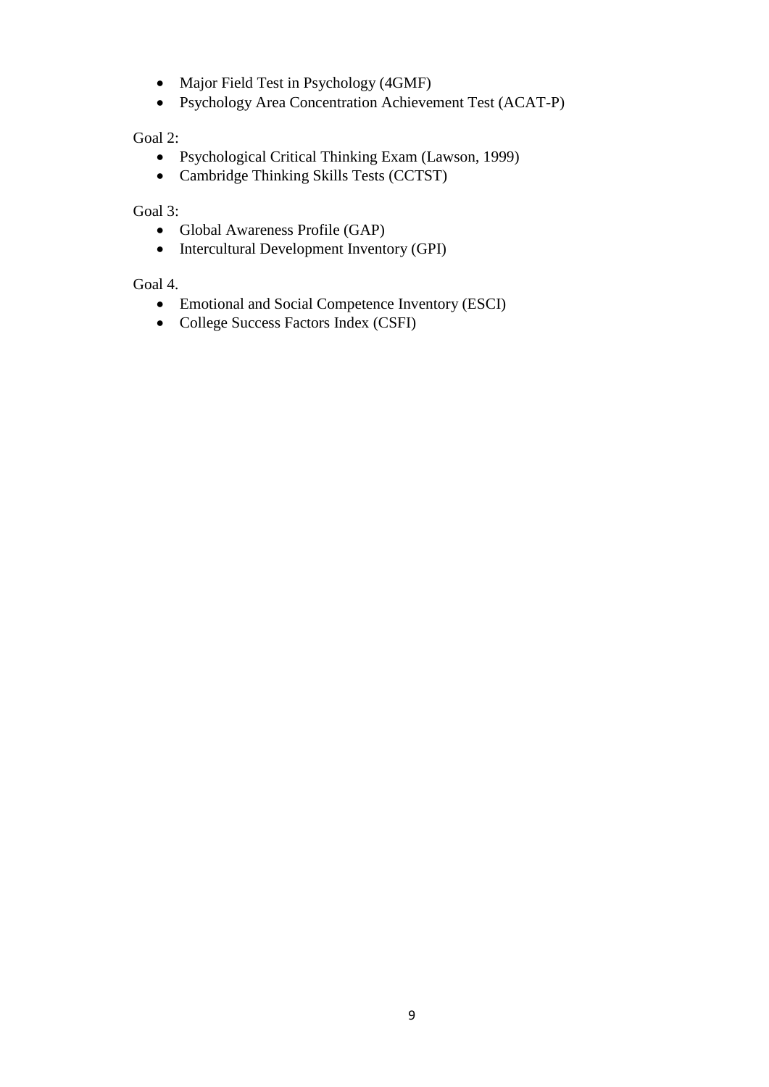- Major Field Test in Psychology (4GMF)
- Psychology Area Concentration Achievement Test (ACAT-P)

Goal 2:

- Psychological Critical Thinking Exam (Lawson, 1999)
- Cambridge Thinking Skills Tests (CCTST)

Goal 3:

- Global Awareness Profile (GAP)
- Intercultural Development Inventory (GPI)

Goal 4.

- Emotional and Social Competence Inventory (ESCI)
- College Success Factors Index (CSFI)